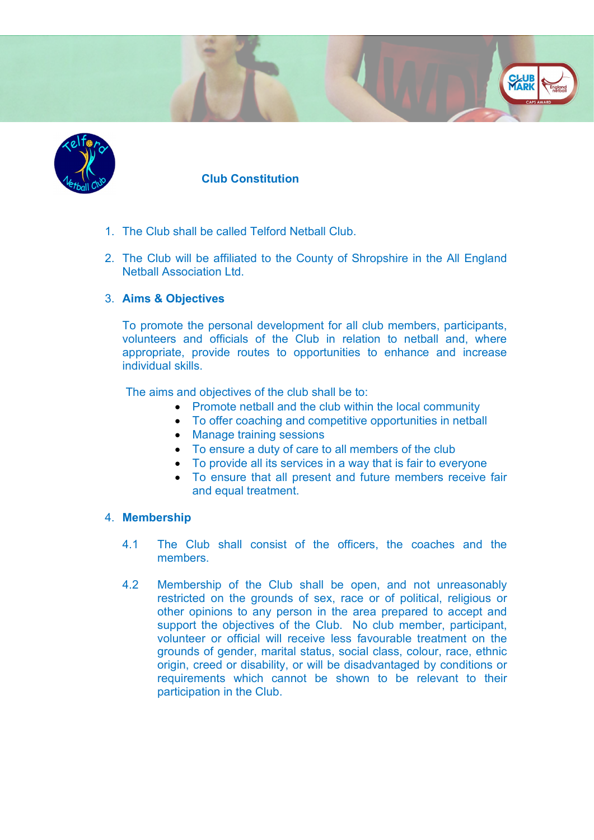

# Club Constitution

- 1. The Club shall be called Telford Netball Club.
- 2. The Club will be affiliated to the County of Shropshire in the All England Netball Association Ltd.

**CLUE**<br>**YARK** 

# 3. Aims & Objectives

To promote the personal development for all club members, participants, volunteers and officials of the Club in relation to netball and, where appropriate, provide routes to opportunities to enhance and increase individual skills.

The aims and objectives of the club shall be to:

- Promote netball and the club within the local community
- To offer coaching and competitive opportunities in netball
- Manage training sessions
- To ensure a duty of care to all members of the club
- To provide all its services in a way that is fair to everyone
- To ensure that all present and future members receive fair and equal treatment.

#### 4. Membership

- 4.1 The Club shall consist of the officers, the coaches and the members.
- 4.2 Membership of the Club shall be open, and not unreasonably restricted on the grounds of sex, race or of political, religious or other opinions to any person in the area prepared to accept and support the objectives of the Club. No club member, participant, volunteer or official will receive less favourable treatment on the grounds of gender, marital status, social class, colour, race, ethnic origin, creed or disability, or will be disadvantaged by conditions or requirements which cannot be shown to be relevant to their participation in the Club.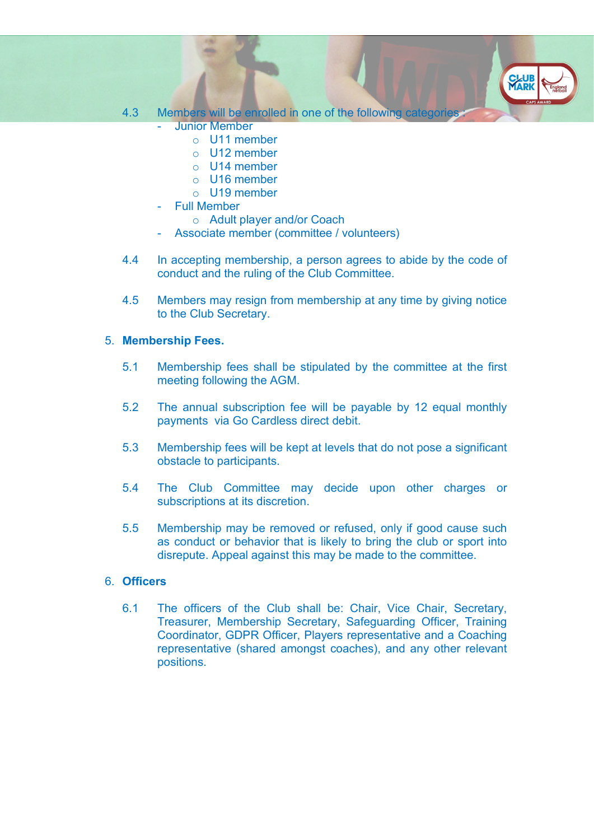# 4.3 Members will be enrolled in one of the following categories

**CLUE**<br>MARK

- **Junior Member** 
	- o U11 member
	- o U12 member
	- o U14 member
	- o U16 member
	- o U19 member
- Full Member
	- o Adult player and/or Coach
- Associate member (committee / volunteers)
- 4.4 In accepting membership, a person agrees to abide by the code of conduct and the ruling of the Club Committee.
- 4.5 Members may resign from membership at any time by giving notice to the Club Secretary.

# 5. Membership Fees.

- 5.1 Membership fees shall be stipulated by the committee at the first meeting following the AGM.
- 5.2 The annual subscription fee will be payable by 12 equal monthly payments via Go Cardless direct debit.
- 5.3 Membership fees will be kept at levels that do not pose a significant obstacle to participants.
- 5.4 The Club Committee may decide upon other charges or subscriptions at its discretion.
- 5.5 Membership may be removed or refused, only if good cause such as conduct or behavior that is likely to bring the club or sport into disrepute. Appeal against this may be made to the committee.

# 6. Officers

6.1 The officers of the Club shall be: Chair, Vice Chair, Secretary, Treasurer, Membership Secretary, Safeguarding Officer, Training Coordinator, GDPR Officer, Players representative and a Coaching representative (shared amongst coaches), and any other relevant positions.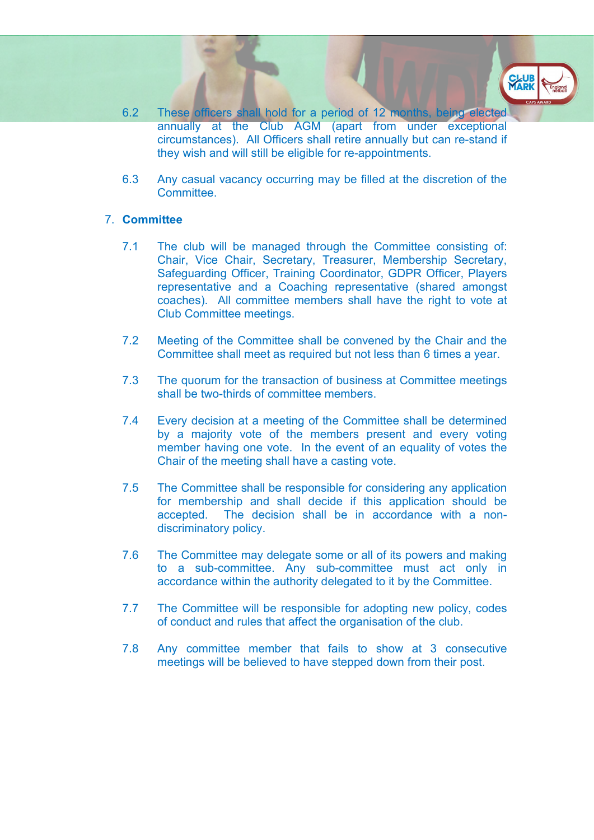- 6.2 These officers shall hold for a period of 12 months, being elected annually at the Club AGM (apart from under exceptional circumstances). All Officers shall retire annually but can re-stand if they wish and will still be eligible for re-appointments.
- 6.3 Any casual vacancy occurring may be filled at the discretion of the **Committee**

#### 7. Committee

- 7.1 The club will be managed through the Committee consisting of: Chair, Vice Chair, Secretary, Treasurer, Membership Secretary, Safeguarding Officer, Training Coordinator, GDPR Officer, Players representative and a Coaching representative (shared amongst coaches). All committee members shall have the right to vote at Club Committee meetings.
- 7.2 Meeting of the Committee shall be convened by the Chair and the Committee shall meet as required but not less than 6 times a year.
- 7.3 The quorum for the transaction of business at Committee meetings shall be two-thirds of committee members.
- 7.4 Every decision at a meeting of the Committee shall be determined by a majority vote of the members present and every voting member having one vote. In the event of an equality of votes the Chair of the meeting shall have a casting vote.
- 7.5 The Committee shall be responsible for considering any application for membership and shall decide if this application should be accepted. The decision shall be in accordance with a nondiscriminatory policy.
- 7.6 The Committee may delegate some or all of its powers and making to a sub-committee. Any sub-committee must act only in accordance within the authority delegated to it by the Committee.
- 7.7 The Committee will be responsible for adopting new policy, codes of conduct and rules that affect the organisation of the club.
- 7.8 Any committee member that fails to show at 3 consecutive meetings will be believed to have stepped down from their post.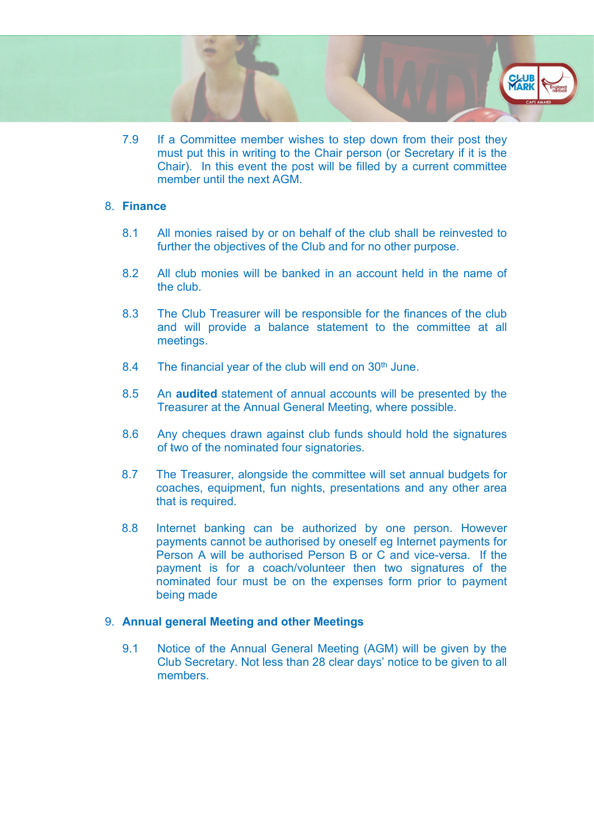7.9 If a Committee member wishes to step down from their post they must put this in writing to the Chair person (or Secretary if it is the Chair). In this event the post will be filled by a current committee member until the next AGM.

**CLU**<br>MARI

### 8. Finance

- 8.1 All monies raised by or on behalf of the club shall be reinvested to further the objectives of the Club and for no other purpose.
- 8.2 All club monies will be banked in an account held in the name of the club.
- 8.3 The Club Treasurer will be responsible for the finances of the club and will provide a balance statement to the committee at all meetings.
- 8.4 The financial year of the club will end on 30<sup>th</sup> June.
- 8.5 An audited statement of annual accounts will be presented by the Treasurer at the Annual General Meeting, where possible.
- 8.6 Any cheques drawn against club funds should hold the signatures of two of the nominated four signatories.
- 8.7 The Treasurer, alongside the committee will set annual budgets for coaches, equipment, fun nights, presentations and any other area that is required.
- 8.8 Internet banking can be authorized by one person. However payments cannot be authorised by oneself eg Internet payments for Person A will be authorised Person B or C and vice-versa. If the payment is for a coach/volunteer then two signatures of the nominated four must be on the expenses form prior to payment being made

#### 9. Annual general Meeting and other Meetings

9.1 Notice of the Annual General Meeting (AGM) will be given by the Club Secretary. Not less than 28 clear days' notice to be given to all members.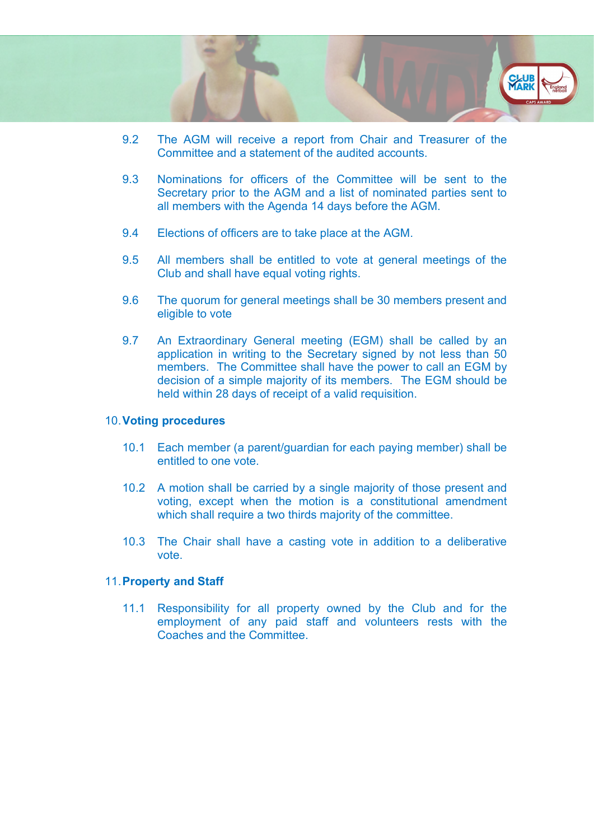

- 9.2 The AGM will receive a report from Chair and Treasurer of the Committee and a statement of the audited accounts.
- 9.3 Nominations for officers of the Committee will be sent to the Secretary prior to the AGM and a list of nominated parties sent to all members with the Agenda 14 days before the AGM.
- 9.4 Elections of officers are to take place at the AGM.
- 9.5 All members shall be entitled to vote at general meetings of the Club and shall have equal voting rights.
- 9.6 The quorum for general meetings shall be 30 members present and eligible to vote
- 9.7 An Extraordinary General meeting (EGM) shall be called by an application in writing to the Secretary signed by not less than 50 members. The Committee shall have the power to call an EGM by decision of a simple majority of its members. The EGM should be held within 28 days of receipt of a valid requisition.

### 10. Voting procedures

- 10.1 Each member (a parent/guardian for each paying member) shall be entitled to one vote.
- 10.2 A motion shall be carried by a single majority of those present and voting, except when the motion is a constitutional amendment which shall require a two thirds majority of the committee.
- 10.3 The Chair shall have a casting vote in addition to a deliberative vote.

# 11. Property and Staff

11.1 Responsibility for all property owned by the Club and for the employment of any paid staff and volunteers rests with the Coaches and the Committee.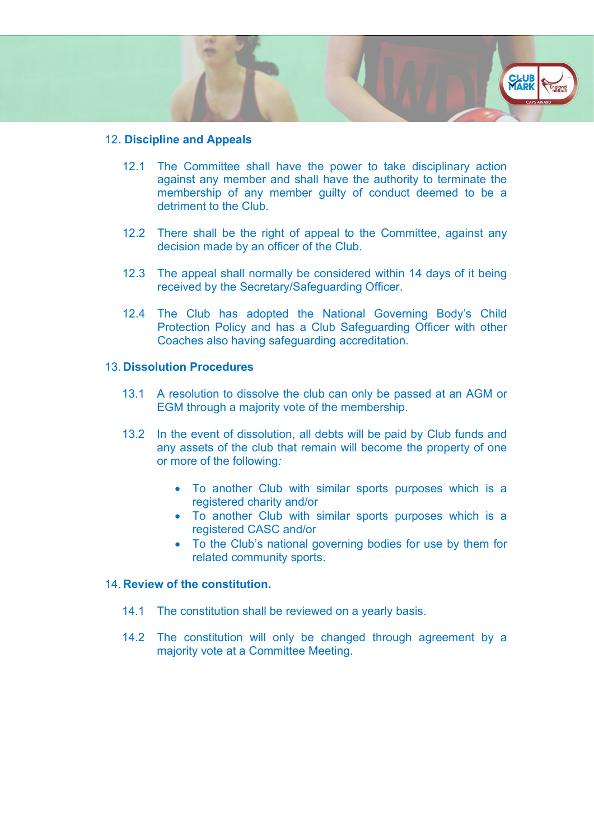### 12. Discipline and Appeals

12.1 The Committee shall have the power to take disciplinary action against any member and shall have the authority to terminate the membership of any member guilty of conduct deemed to be a detriment to the Club.

**CLUI**<br>MARI

- 12.2 There shall be the right of appeal to the Committee, against any decision made by an officer of the Club.
- 12.3 The appeal shall normally be considered within 14 days of it being received by the Secretary/Safeguarding Officer.
- 12.4 The Club has adopted the National Governing Body's Child Protection Policy and has a Club Safeguarding Officer with other Coaches also having safeguarding accreditation.

#### 13. Dissolution Procedures

- 13.1 A resolution to dissolve the club can only be passed at an AGM or EGM through a majority vote of the membership.
- 13.2 In the event of dissolution, all debts will be paid by Club funds and any assets of the club that remain will become the property of one or more of the following:
	- To another Club with similar sports purposes which is a registered charity and/or
	- To another Club with similar sports purposes which is a registered CASC and/or
	- To the Club's national governing bodies for use by them for related community sports.

# 14. Review of the constitution.

- 14.1 The constitution shall be reviewed on a yearly basis.
- 14.2 The constitution will only be changed through agreement by a majority vote at a Committee Meeting.